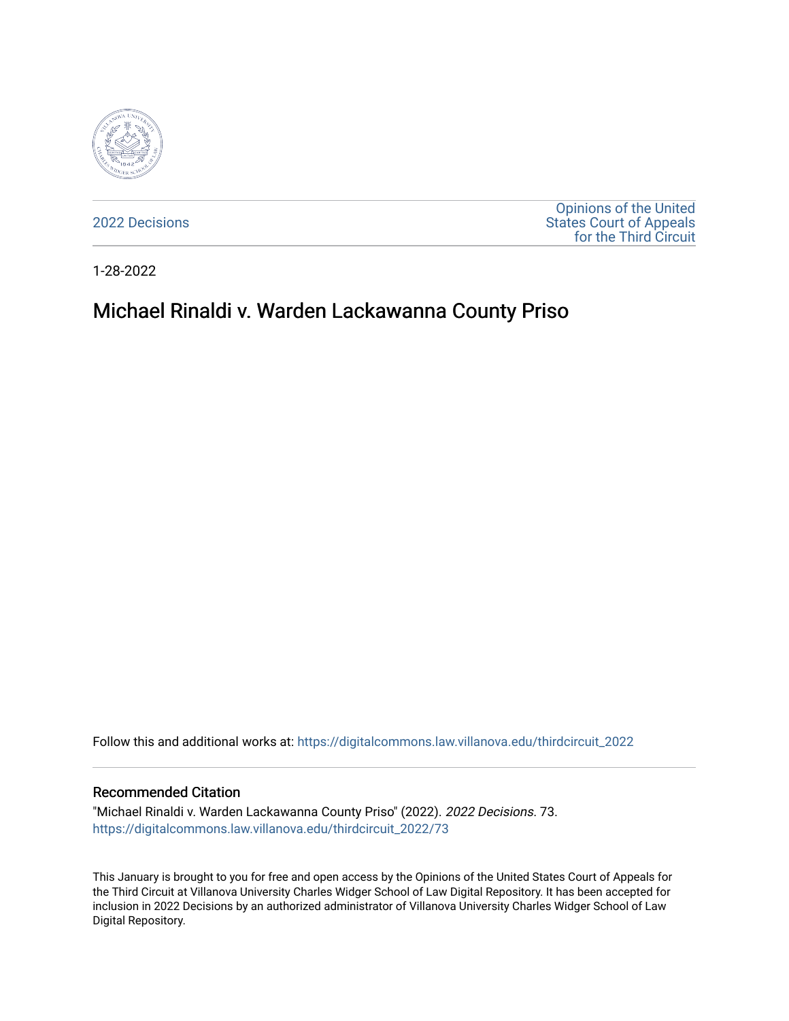

[2022 Decisions](https://digitalcommons.law.villanova.edu/thirdcircuit_2022)

[Opinions of the United](https://digitalcommons.law.villanova.edu/thirdcircuit)  [States Court of Appeals](https://digitalcommons.law.villanova.edu/thirdcircuit)  [for the Third Circuit](https://digitalcommons.law.villanova.edu/thirdcircuit) 

1-28-2022

# Michael Rinaldi v. Warden Lackawanna County Priso

Follow this and additional works at: [https://digitalcommons.law.villanova.edu/thirdcircuit\\_2022](https://digitalcommons.law.villanova.edu/thirdcircuit_2022?utm_source=digitalcommons.law.villanova.edu%2Fthirdcircuit_2022%2F73&utm_medium=PDF&utm_campaign=PDFCoverPages) 

#### Recommended Citation

"Michael Rinaldi v. Warden Lackawanna County Priso" (2022). 2022 Decisions. 73. [https://digitalcommons.law.villanova.edu/thirdcircuit\\_2022/73](https://digitalcommons.law.villanova.edu/thirdcircuit_2022/73?utm_source=digitalcommons.law.villanova.edu%2Fthirdcircuit_2022%2F73&utm_medium=PDF&utm_campaign=PDFCoverPages)

This January is brought to you for free and open access by the Opinions of the United States Court of Appeals for the Third Circuit at Villanova University Charles Widger School of Law Digital Repository. It has been accepted for inclusion in 2022 Decisions by an authorized administrator of Villanova University Charles Widger School of Law Digital Repository.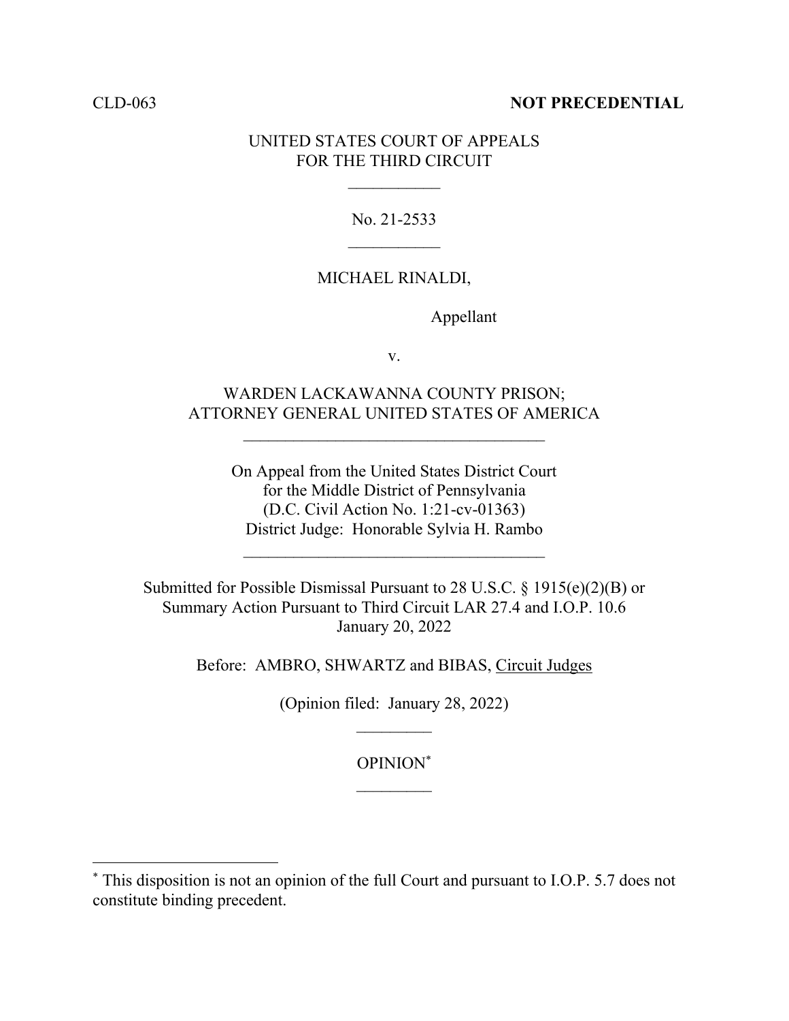## CLD-063 **NOT PRECEDENTIAL**

## UNITED STATES COURT OF APPEALS FOR THE THIRD CIRCUIT

No. 21-2533

## MICHAEL RINALDI,

Appellant

v.

## WARDEN LACKAWANNA COUNTY PRISON; ATTORNEY GENERAL UNITED STATES OF AMERICA

On Appeal from the United States District Court for the Middle District of Pennsylvania (D.C. Civil Action No. 1:21-cv-01363) District Judge: Honorable Sylvia H. Rambo

 $\mathcal{L}_\text{max}$ 

Submitted for Possible Dismissal Pursuant to 28 U.S.C. § 1915(e)(2)(B) or Summary Action Pursuant to Third Circuit LAR 27.4 and I.O.P. 10.6 January 20, 2022

Before: AMBRO, SHWARTZ and BIBAS, Circuit Judges

(Opinion filed: January 28, 2022)

OPINION\*

<sup>\*</sup> This disposition is not an opinion of the full Court and pursuant to I.O.P. 5.7 does not constitute binding precedent.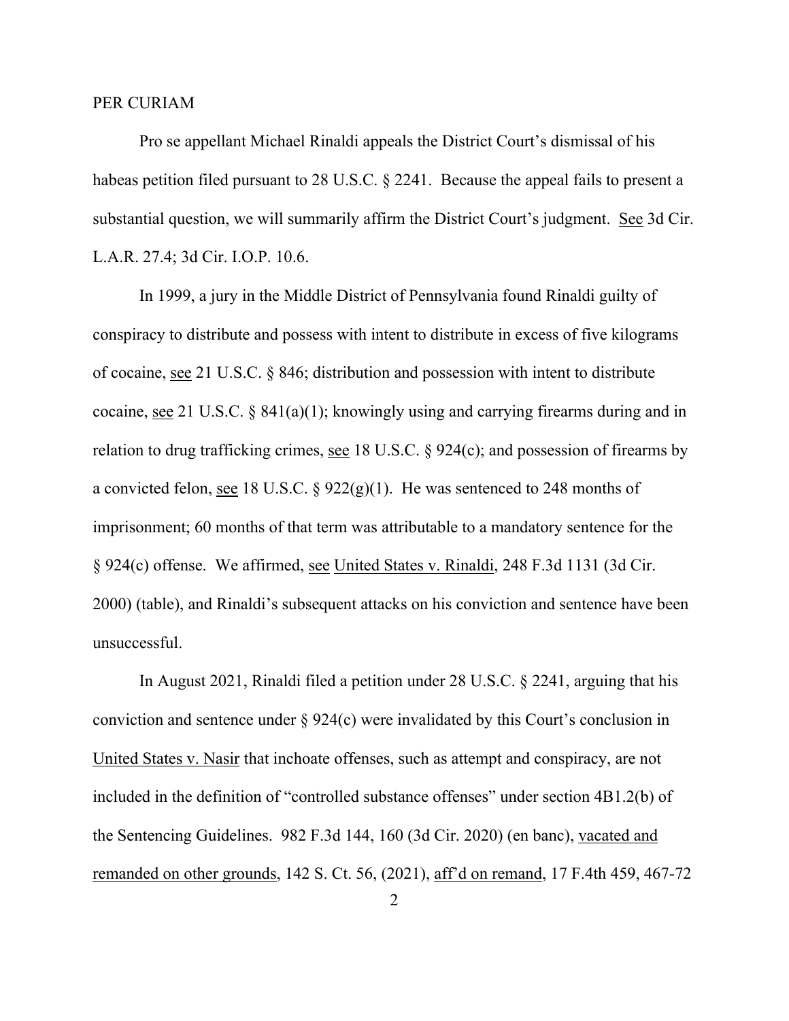### PER CURIAM

Pro se appellant Michael Rinaldi appeals the District Court's dismissal of his habeas petition filed pursuant to 28 U.S.C. § 2241. Because the appeal fails to present a substantial question, we will summarily affirm the District Court's judgment. See 3d Cir. L.A.R. 27.4; 3d Cir. I.O.P. 10.6.

In 1999, a jury in the Middle District of Pennsylvania found Rinaldi guilty of conspiracy to distribute and possess with intent to distribute in excess of five kilograms of cocaine, see 21 U.S.C. § 846; distribution and possession with intent to distribute cocaine, see 21 U.S.C.  $\S$  841(a)(1); knowingly using and carrying firearms during and in relation to drug trafficking crimes, see 18 U.S.C. § 924(c); and possession of firearms by a convicted felon, <u>see</u> 18 U.S.C. §  $922(g)(1)$ . He was sentenced to 248 months of imprisonment; 60 months of that term was attributable to a mandatory sentence for the § 924(c) offense. We affirmed, see United States v. Rinaldi, 248 F.3d 1131 (3d Cir. 2000) (table), and Rinaldi's subsequent attacks on his conviction and sentence have been unsuccessful.

In August 2021, Rinaldi filed a petition under 28 U.S.C. § 2241, arguing that his conviction and sentence under § 924(c) were invalidated by this Court's conclusion in United States v. Nasir that inchoate offenses, such as attempt and conspiracy, are not included in the definition of "controlled substance offenses" under section 4B1.2(b) of the Sentencing Guidelines. 982 F.3d 144, 160 (3d Cir. 2020) (en banc), vacated and remanded on other grounds, 142 S. Ct. 56, (2021), aff'd on remand, 17 F.4th 459, 467-72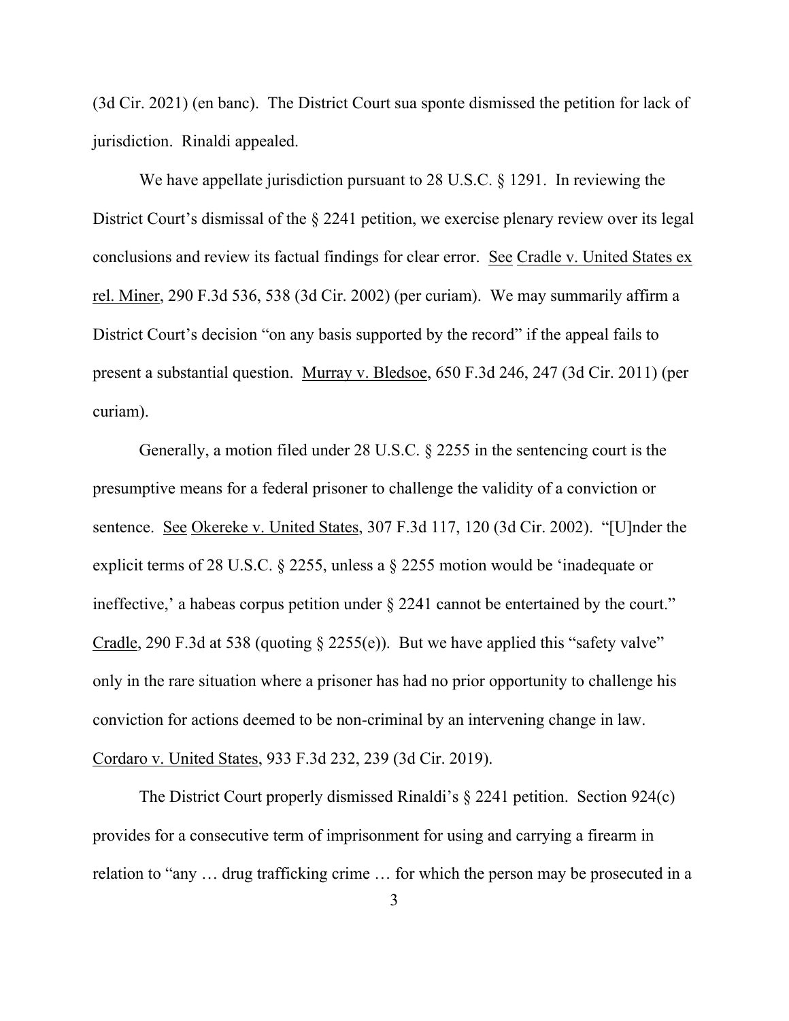(3d Cir. 2021) (en banc). The District Court sua sponte dismissed the petition for lack of jurisdiction. Rinaldi appealed.

We have appellate jurisdiction pursuant to 28 U.S.C. § 1291. In reviewing the District Court's dismissal of the § 2241 petition, we exercise plenary review over its legal conclusions and review its factual findings for clear error. See Cradle v. United States ex rel. Miner, 290 F.3d 536, 538 (3d Cir. 2002) (per curiam). We may summarily affirm a District Court's decision "on any basis supported by the record" if the appeal fails to present a substantial question. Murray v. Bledsoe, 650 F.3d 246, 247 (3d Cir. 2011) (per curiam).

Generally, a motion filed under 28 U.S.C. § 2255 in the sentencing court is the presumptive means for a federal prisoner to challenge the validity of a conviction or sentence. See Okereke v. United States, 307 F.3d 117, 120 (3d Cir. 2002). "[U]nder the explicit terms of 28 U.S.C. § 2255, unless a § 2255 motion would be 'inadequate or ineffective,' a habeas corpus petition under  $\S 2241$  cannot be entertained by the court." Cradle, 290 F.3d at 538 (quoting  $\S$  2255(e)). But we have applied this "safety valve" only in the rare situation where a prisoner has had no prior opportunity to challenge his conviction for actions deemed to be non-criminal by an intervening change in law. Cordaro v. United States, 933 F.3d 232, 239 (3d Cir. 2019).

The District Court properly dismissed Rinaldi's § 2241 petition. Section 924(c) provides for a consecutive term of imprisonment for using and carrying a firearm in relation to "any … drug trafficking crime … for which the person may be prosecuted in a